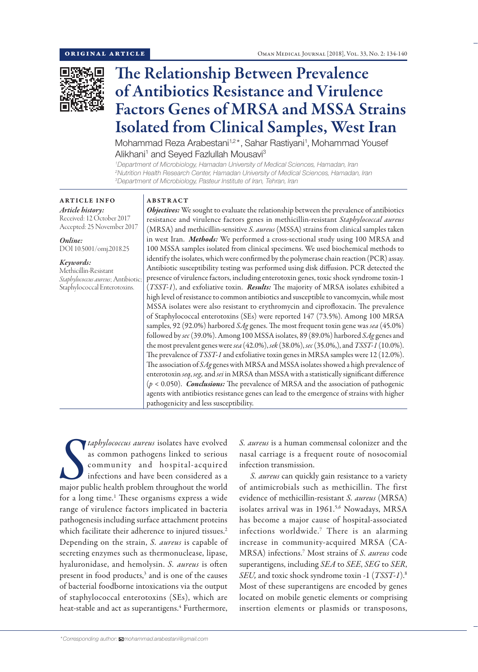

# The Relationship Between Prevalence of Antibiotics Resistance and Virulence Factors Genes of MRSA and MSSA Strains Isolated from Clinical Samples, West Iran

Mohammad Reza Arabestani<sup>1,2\*</sup>, Sahar Rastiyani<sup>1</sup>, Mohammad Yousef Alikhani<sup>1</sup> and Seyed Fazlullah Mousavi<sup>3</sup>

*1 Department of Microbiology, Hamadan University of Medical Sciences, Hamadan, Iran 2 Nutrition Health Research Center, Hamadan University of Medical Sciences, Hamadan, Iran 3 Department of Microbiology, Pasteur Institute of Iran, Tehran, Iran*

ARTICLE INFO *Article history:* Received: 12 October 2017 Accepted: 25 November 2017

*Online:* DOI 10.5001/omj.2018.25

*Keywords:*  Methicillin-Resistant *Staphylococcus aureus*; Antibiotic; Staphylococcal Enterotoxins.

## ABSTRACT

*Objectives:* We sought to evaluate the relationship between the prevalence of antibiotics resistance and virulence factors genes in methicillin-resistant *Staphylococcal aureus* (MRSA) and methicillin-sensitive *S. aureus* (MSSA) strains from clinical samples taken in west Iran. *Methods:* We performed a cross-sectional study using 100 MRSA and 100 MSSA samples isolated from clinical specimens. We used biochemical methods to identify the isolates, which were confirmed by the polymerase chain reaction (PCR) assay. Antibiotic susceptibility testing was performed using disk diffusion. PCR detected the presence of virulence factors, including enterotoxin genes, toxic shock syndrome toxin-1 (*TSST-1*), and exfoliative toxin. *Results:* The majority of MRSA isolates exhibited a high level of resistance to common antibiotics and susceptible to vancomycin, while most MSSA isolates were also resistant to erythromycin and ciprofloxacin. The prevalence of Staphylococcal enterotoxins (SEs) were reported 147 (73.5%). Among 100 MRSA samples, 92 (92.0%) harbored *SAg* genes. The most frequent toxin gene was *sea* (45.0%) followed by *sec* (39.0%). Among 100 MSSA isolates, 89 (89.0%) harbored *SAg* genes and the most prevalent genes were *sea* (42.0%), *sek* (38.0%), *sec* (35.0%,), and *TSST-1* (10.0%). The prevalence of *TSST-1* and exfoliative toxin genes in MRSA samples were 12 (12.0%). The association of *SAg* genes with MRSA and MSSA isolates showed a high prevalence of enterotoxin *seq*, *seg,* and *sei* in MRSA than MSSA with a statistically significant difference (*p* < 0.050). *Conclusions:* The prevalence of MRSA and the association of pathogenic agents with antibiotics resistance genes can lead to the emergence of strains with higher pathogenicity and less susceptibility.

 $\int_{0}^{t}$ *taphylococcus aureus* isolates have evolved as common pathogens linked to serious community and hospital-acquired infections and have been considered as a major public health problem throughout the world for a long time.<sup>1</sup> These organisms express a wide range of virulence factors implicated in bacteria pathogenesis including surface attachment proteins which facilitate their adherence to injured tissues.<sup>2</sup> Depending on the strain, *S. aureus* is capable of secreting enzymes such as thermonuclease, lipase, hyaluronidase, and hemolysin. *S. aureus* is often present in food products,<sup>3</sup> and is one of the causes of bacterial foodborne intoxications via the output of staphylococcal enterotoxins (SEs), which are heat-stable and act as superantigens.<sup>4</sup> Furthermore,

*S. aureus* is a human commensal colonizer and the nasal carriage is a frequent route of nosocomial infection transmission.

*S. aureus* can quickly gain resistance to a variety of antimicrobials such as methicillin. The first evidence of methicillin-resistant *S. aureus* (MRSA) isolates arrival was in 1961.<sup>5,6</sup> Nowadays, MRSA has become a major cause of hospital-associated infections worldwide.7 There is an alarming increase in community-acquired MRSA (CA-MRSA) infections.7 Most strains of *S. aureus* code superantigens, including *SEA* to *SEE*, *SEG* to *SER*, *SEU,* and toxic shock syndrome toxin -1 (*TSST-1*).8 Most of these superantigens are encoded by genes located on mobile genetic elements or comprising insertion elements or plasmids or transposons,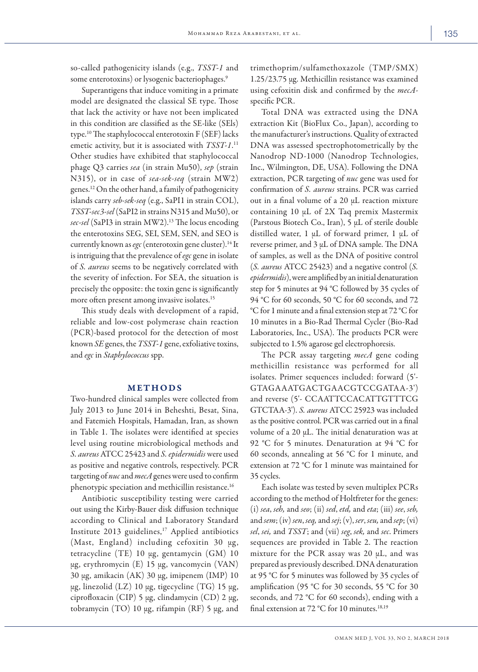so-called pathogenicity islands (e.g., *TSST-1* and some enterotoxins) or lysogenic bacteriophages.<sup>9</sup>

Superantigens that induce vomiting in a primate model are designated the classical SE type. Those that lack the activity or have not been implicated in this condition are classified as the SE-like (SEls) type.10 The staphylococcal enterotoxin F (SEF) lacks emetic activity, but it is associated with *TSST-1*. 11 Other studies have exhibited that staphylococcal phage Q3 carries *sea* (in strain Mu50), *sep* (strain N315), or in case of *sea*-*sek*-*seq* (strain MW2) genes.12 On the other hand, a family of pathogenicity islands carry *seb*-*sek*-*seq* (e.g., SaPI1 in strain COL), *TSST-sec3-sel* (SaPI2 in strains N315 and Mu50), or *sec-sel* (SaPI3 in strain MW2).13 The locus encoding the enterotoxins SEG, SEI, SEM, SEN, and SEO is currently known as *egc* (enterotoxin gene cluster).<sup>14</sup> It is intriguing that the prevalence of *egc* gene in isolate of *S. aureus* seems to be negatively correlated with the severity of infection. For SEA, the situation is precisely the opposite: the toxin gene is significantly more often present among invasive isolates.<sup>15</sup>

This study deals with development of a rapid, reliable and low-cost polymerase chain reaction (PCR)-based protocol for the detection of most known *SE* genes, the *TSST-1* gene, exfoliative toxins, and *egc* in *Staphylococcus* spp.

## METHODS

Two-hundred clinical samples were collected from July 2013 to June 2014 in Beheshti, Besat, Sina, and Fatemieh Hospitals, Hamadan, Iran, as shown in Table 1. The isolates were identified at species level using routine microbiological methods and *S. aureus*ATCC 25423 and *S. epidermidis* were used as positive and negative controls, respectively. PCR targeting of *nuc* and *mecA* genes were used to confirm phenotypic speciation and methicillin resistance.16

Antibiotic susceptibility testing were carried out using the Kirby-Bauer disk diffusion technique according to Clinical and Laboratory Standard Institute 2013 guidelines, $17$  Applied antibiotics (Mast, England) including cefoxitin 30  $\mu$ g, tetracycline (TE) 10 μg, gentamycin (GM) 10 μg, erythromycin (E) 15 μg, vancomycin (VAN) 30 μg, amikacin (AK) 30 μg, imipenem (IMP) 10 μg, linezolid (LZ) 10 μg, tigecycline (TG) 15 μg, ciprofloxacin (CIP) 5 μg, clindamycin (CD) 2 μg, tobramycin (TO) 10 μg, rifampin (RF) 5 μg, and trimethoprim/sulfamethoxazole (TMP/SMX) 1.25/23.75 μg. Methicillin resistance was examined using cefoxitin disk and confirmed by the *mecA*specific PCR.

Total DNA was extracted using the DNA extraction Kit (BioFlux Co., Japan), according to the manufacturer's instructions. Quality of extracted DNA was assessed spectrophotometrically by the Nanodrop ND-1000 (Nanodrop Technologies, Inc., Wilmington, DE, USA). Following the DNA extraction, PCR targeting of *nuc* gene was used for confirmation of *S. aureus* strains. PCR was carried out in a final volume of a 20 μL reaction mixture containing 10 μL of 2X Taq premix Mastermix (Parstous Biotech Co., Iran), 5 μL of sterile double distilled water, 1 μL of forward primer, 1 μL of reverse primer, and 3 μL of DNA sample. The DNA of samples, as well as the DNA of positive control (*S. aureus* ATCC 25423) and a negative control (*S. epidermidis*), were amplified by an initial denaturation step for 5 minutes at 94 °C followed by 35 cycles of 94 °C for 60 seconds, 50 °C for 60 seconds, and 72 °C for 1 minute and a final extension step at 72 °C for 10 minutes in a Bio-Rad Thermal Cycler (Bio-Rad Laboratories, Inc., USA). The products PCR were subjected to 1.5% agarose gel electrophoresis.

The PCR assay targeting *mecA* gene coding methicillin resistance was performed for all isolates. Primer sequences included: forward (5'- GTAGAAATGACTGAACGTCCGATAA-3') and reverse (5'- CCAATTCCACATTGTTTCG GTCTAA-3'). *S. aureus* ATCC 25923 was included as the positive control. PCR was carried out in a final volume of a 20 μL. The initial denaturation was at 92 °C for 5 minutes. Denaturation at 94 °C for 60 seconds, annealing at 56 °C for 1 minute, and extension at 72 °C for 1 minute was maintained for 35 cycles.

Each isolate was tested by seven multiplex PCRs according to the method of Holtfreter for the genes: (i) *sea*, *seh,* and *seo*; (ii) *sed*, *etd,* and *eta*; (iii) *see*, *seb,*  and *sem*; (iv) *sen*, *seq,* and *sej*; (v), *ser*, *seu,* and *sep*; (vi) *sel*, *sei,* and *TSST*; and (vii) *seg*, *sek,* and *sec*. Primers sequences are provided in Table 2. The reaction mixture for the PCR assay was 20 μL, and was prepared as previously described. DNA denaturation at 95 °C for 5 minutes was followed by 35 cycles of amplification (95 °C for 30 seconds, 55 °C for 30 seconds, and 72 °C for 60 seconds), ending with a final extension at 72 °C for 10 minutes.<sup>18,19</sup>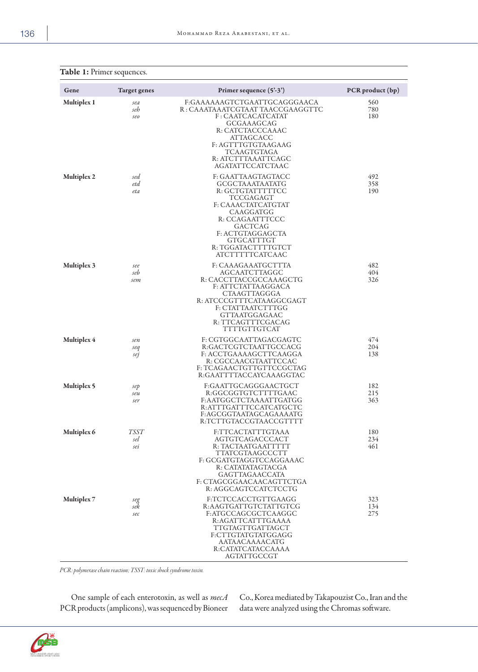| Gene               | <b>Target genes</b>       | Primer sequence (5'-3')                                                                                                                                                                                                   | PCR product (bp)  |
|--------------------|---------------------------|---------------------------------------------------------------------------------------------------------------------------------------------------------------------------------------------------------------------------|-------------------|
| Multiplex 1        | sea<br>seh<br>seo         | F:GAAAAAAGTCTGAATTGCAGGGAACA<br>R : CAAATAAATCGTAAT TAACCGAAGGTTC<br>F: CAATCACATCATAT<br>GCGAAAGCAG<br>R: CATCTACCCAAAC<br>ATTAGCACC<br>F: AGTTTGTGTAAGAAG<br>TCAAGTGTAGA<br>R: ATCTTTAAATTCAGC<br>AGATATTCCATCTAAC      | 560<br>780<br>180 |
| Multiplex 2        | sed<br>etd<br>eta         | F: GAATTAAGTAGTACC<br>GCGCTAAATAATATG<br>R: GCTGTATTTTTCC<br>TCCGAGAGT<br>F: CAAACTATCATGTAT<br>CAAGGATGG<br>R: CCAGAATTTCCC<br>GACTCAG<br>F: ACTGTAGGAGCTA<br>GTGCATTTGT<br>R: TGGATACTTTTGTCT<br><b>ATCTTTTTCATCAAC</b> | 492<br>358<br>190 |
| <b>Multiplex 3</b> | see<br>seb<br>sem         | F: CAAAGAAATGCTTTA<br>AGCAATCTTAGGC<br>R: CACCTTACCGCCAAAGCTG<br>F: ATTCTATTAAGGACA<br>CTAAGTTAGGGA<br>R: ATCCCGTTTCATAAGGCGAGT<br>F: CTATTAATCTTTGG<br>GTTAATGGAGAAC<br>R: TTCAGTTTCGACAG<br>TTTTGTTGTCAT                | 482<br>404<br>326 |
| Multiplex 4        | sen<br>seq<br>sej         | F: CGTGGCAATTAGACGAGTC<br>R:GACTCGTCTAATTGCCACG<br>F: ACCTGAAAAGCTTCAAGGA<br>R: CGCCAACGTAATTCCAC<br>F: TCAGAACTGTTGTTCCGCTAG<br>R:GAATTTTACCAYCAAAGGTAC                                                                  | 474<br>204<br>138 |
| Multiplex 5        | sep<br>seu<br>ser         | F:GAATTGCAGGGAACTGCT<br>R:GGCGGTGTCTTTTGAAC<br>F:AATGGCTCTAAAATTGATGG<br>R:ATTTGATTTCCATCATGCTC<br>F:AGCGGTAATAGCAGAAAATG<br>R:TCTTGTACCGTAACCGTTTT                                                                       | 182<br>215<br>363 |
| Multiplex 6        | <b>TSST</b><br>sel<br>sei | F:TTCACTATTTGTAAA<br>AGTGTCAGACCCACT<br>R: TACTAATGAATTTTT<br>TTATCGTAAGCCCTT<br>F: GCGATGTAGGTCCAGGAAAC<br>R: CATATATAGTACGA<br>GAGTTAGAACCATA<br>F: CTAGCGGAACAACAGTTCTGA<br>R: AGGCAGTCCATCTCCTG                       | 180<br>234<br>461 |
| Multiplex 7        | seg<br>sek<br>sec         | F:TCTCCACCTGTTGAAGG<br>R:AAGTGATTGTCTATTGTCG<br>F:ATGCCAGCGCTCAAGGC<br>R:AGATTCATTTGAAAA<br>TTGTAGTTGATTAGCT<br>F:CTTGTATGTATGGAGG<br>AATAACAAAACATG<br>R:CATATCATACCAAAA<br>AGTATTGCCGT                                  | 323<br>134<br>275 |

Table 1: Primer sequences.

*PCR: polymerase chain reaction; TSST: toxic shock syndrome toxin.*

One sample of each enterotoxin, as well as *mecA*  PCR products (amplicons), was sequenced by Bioneer

Co., Korea mediated by Takapouzist Co., Iran and the data were analyzed using the Chromas software.

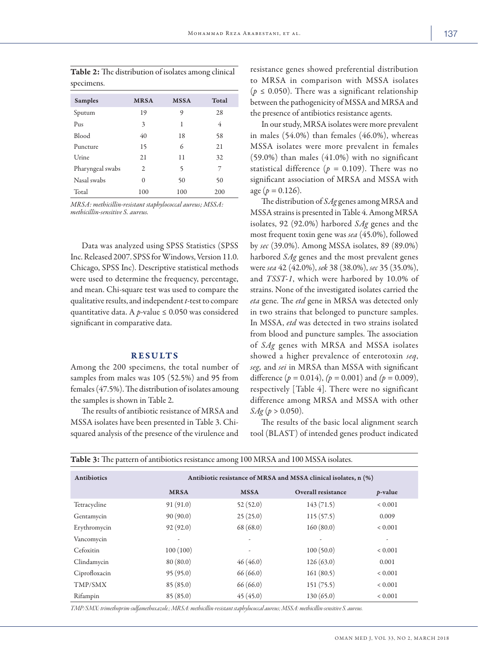| <b>Samples</b>   | <b>MRSA</b> | <b>MSSA</b> | <b>Total</b> |
|------------------|-------------|-------------|--------------|
| Sputum           | 19          | 9           | 28           |
| Pus              | 3           | 1           | 4            |
| <b>Blood</b>     | 40          | 18          | 58           |
| Puncture         | 15          | 6           | 21           |
| Urine            | 21          | 11          | 32           |
| Pharyngeal swabs | 2           | 5           | 7            |
| Nasal swabs      | $\theta$    | 50          | 50           |
| Total            | 100         | 100         | 200          |

Table 2: The distribution of isolates among clinical specimens.

*MRSA: methicillin-resistant staphylococcal aureus; MSSA: methicillin-sensitive S. aureus.*

Data was analyzed using SPSS Statistics (SPSS Inc. Released 2007. SPSS for Windows, Version 11.0. Chicago, SPSS Inc). Descriptive statistical methods were used to determine the frequency, percentage, and mean. Chi-square test was used to compare the qualitative results, and independent *t*-test to compare quantitative data. A  $p$ -value  $\leq 0.050$  was considered significant in comparative data.

#### RESULTS

Among the 200 specimens, the total number of samples from males was 105 (52.5%) and 95 from females (47.5%). The distribution of isolates amoung the samples is shown in Table 2.

The results of antibiotic resistance of MRSA and MSSA isolates have been presented in Table 3. Chisquared analysis of the presence of the virulence and resistance genes showed preferential distribution to MRSA in comparison with MSSA isolates ( $p \leq 0.050$ ). There was a significant relationship between the pathogenicity of MSSA and MRSA and the presence of antibiotics resistance agents.

In our study, MRSA isolates were more prevalent in males (54.0%) than females (46.0%), whereas MSSA isolates were more prevalent in females (59.0%) than males (41.0%) with no significant statistical difference ( $p = 0.109$ ). There was no significant association of MRSA and MSSA with age ( $p = 0.126$ ).

The distribution of *SAg* genes among MRSA and MSSA strains is presented in Table 4. Among MRSA isolates, 92 (92.0%) harbored *SAg* genes and the most frequent toxin gene was *sea* (45.0%), followed by *sec* (39.0%). Among MSSA isolates, 89 (89.0%) harbored *SAg* genes and the most prevalent genes were *sea* 42 (42.0%), *sek* 38 (38.0%), *sec* 35 (35.0%), and *TSST-1*, which were harbored by 10.0% of strains. None of the investigated isolates carried the *eta* gene. The *etd* gene in MRSA was detected only in two strains that belonged to puncture samples. In MSSA, *etd* was detected in two strains isolated from blood and puncture samples. The association of *SAg* genes with MRSA and MSSA isolates showed a higher prevalence of enterotoxin *seq*, *seg,* and *sei* in MRSA than MSSA with significant difference  $(p = 0.014)$ ,  $(p = 0.001)$  and  $(p = 0.009)$ , respectively [Table 4]. There were no significant difference among MRSA and MSSA with other *SAg* (*p* > 0.050).

The results of the basic local alignment search tool (BLAST) of intended genes product indicated

| <b>Antibiotics</b> | Antibiotic resistance of MRSA and MSSA clinical isolates, n (%) |             |                           |             |  |
|--------------------|-----------------------------------------------------------------|-------------|---------------------------|-------------|--|
|                    | <b>MRSA</b>                                                     | <b>MSSA</b> | <b>Overall resistance</b> | $p$ -value  |  |
| Tetracycline       | 91(91.0)                                                        | 52(52.0)    | 143(71.5)                 | ${}< 0.001$ |  |
| Gentamycin         | 90(90.0)                                                        | 25(25.0)    | 115(57.5)                 | 0.009       |  |
| Erythromycin       | 92(92.0)                                                        | 68 (68.0)   | 160(80.0)                 | ${}< 0.001$ |  |
| Vancomycin         |                                                                 |             |                           | ٠           |  |
| Cefoxitin          | 100(100)                                                        |             | 100(50.0)                 | ${}< 0.001$ |  |
| Clindamycin        | 80(80.0)                                                        | 46(46.0)    | 126(63.0)                 | 0.001       |  |
| Ciprofloxacin      | 95(95.0)                                                        | 66(66.0)    | 161(80.5)                 | ${}< 0.001$ |  |
| TMP/SMX            | 85(85.0)                                                        | 66(66.0)    | 151(75.5)                 | ${}< 0.001$ |  |
| Rifampin           | 85(85.0)                                                        | 45(45.0)    | 130(65.0)                 | ${}< 0.001$ |  |

*TMP/SMX: trimethoprim-sulfamethoxazole.; MRSA: methicillin-resistant staphylococcal aureus; MSSA: methicillin-sensitive S. aureus.* 

Table 3: The pattern of antibiotics resistance among 100 MRSA and 100 MSSA isolates.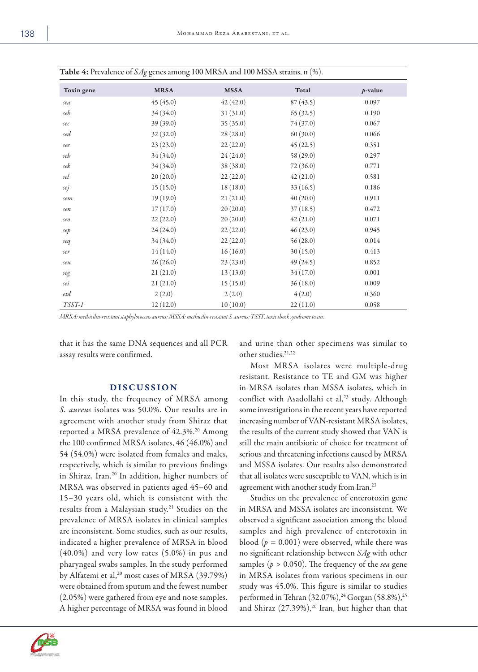| Toxin gene                          | <b>MRSA</b> | <b>MSSA</b> | Total     | $p$ -value |
|-------------------------------------|-------------|-------------|-----------|------------|
| sea                                 | 45(45.0)    | 42(42.0)    | 87(43.5)  | 0.097      |
| seb                                 | 34(34.0)    | 31(31.0)    | 65(32.5)  | 0.190      |
| sec                                 | 39(39.0)    | 35(35.0)    | 74 (37.0) | 0.067      |
| sed                                 | 32(32.0)    | 28(28.0)    | 60(30.0)  | 0.066      |
| $\mathfrak{sec}$                    | 23(23.0)    | 22(22.0)    | 45(22.5)  | 0.351      |
| seh                                 | 34(34.0)    | 24(24.0)    | 58 (29.0) | 0.297      |
| sek                                 | 34(34.0)    | 38 (38.0)   | 72(36.0)  | 0.771      |
| sel                                 | 20(20.0)    | 22(22.0)    | 42(21.0)  | 0.581      |
| sej                                 | 15(15.0)    | 18(18.0)    | 33(16.5)  | 0.186      |
| sem                                 | 19(19.0)    | 21(21.0)    | 40(20.0)  | 0.911      |
| sen                                 | 17(17.0)    | 20(20.0)    | 37(18.5)  | 0.472      |
| $\mathcal{S}\mathcal{C}\mathcal{O}$ | 22(22.0)    | 20(20.0)    | 42(21.0)  | 0.071      |
| sep                                 | 24(24.0)    | 22(22.0)    | 46(23.0)  | 0.945      |
| seq                                 | 34(34.0)    | 22(22.0)    | 56(28.0)  | 0.014      |
| ser                                 | 14(14.0)    | 16(16.0)    | 30(15.0)  | 0.413      |
| seu                                 | 26(26.0)    | 23(23.0)    | 49(24.5)  | 0.852      |
| seg                                 | 21(21.0)    | 13(13.0)    | 34(17.0)  | 0.001      |
| sei                                 | 21(21.0)    | 15(15.0)    | 36(18.0)  | 0.009      |
| etd                                 | 2(2.0)      | 2(2.0)      | 4(2.0)    | 0.360      |
| TSST-1                              | 12(12.0)    | 10(10.0)    | 22(11.0)  | 0.058      |

*MRSA: methicilin-resistant staphylococcus aureus; MSSA: methicilin-resistant S. aureus; TSST: toxic shock syndrome toxin.*

that it has the same DNA sequences and all PCR assay results were confirmed.

## DISCUSSION

In this study, the frequency of MRSA among *S. aureus* isolates was 50.0%. Our results are in agreement with another study from Shiraz that reported a MRSA prevalence of 42.3%.<sup>20</sup> Among the 100 confirmed MRSA isolates, 46 (46.0%) and 54 (54.0%) were isolated from females and males, respectively, which is similar to previous findings in Shiraz, Iran.20 In addition, higher numbers of MRSA was observed in patients aged 45–60 and 15–30 years old, which is consistent with the results from a Malaysian study.<sup>21</sup> Studies on the prevalence of MRSA isolates in clinical samples are inconsistent. Some studies, such as our results, indicated a higher prevalence of MRSA in blood (40.0%) and very low rates (5.0%) in pus and pharyngeal swabs samples. In the study performed by Alfatemi et al,<sup>20</sup> most cases of MRSA (39.79%) were obtained from sputum and the fewest number (2.05%) were gathered from eye and nose samples. A higher percentage of MRSA was found in blood

and urine than other specimens was similar to other studies.<sup>21,22</sup>

Most MRSA isolates were multiple-drug resistant. Resistance to TE and GM was higher in MRSA isolates than MSSA isolates, which in conflict with Asadollahi et al,<sup>23</sup> study. Although some investigations in the recent years have reported increasing number of VAN-resistant MRSA isolates, the results of the current study showed that VAN is still the main antibiotic of choice for treatment of serious and threatening infections caused by MRSA and MSSA isolates. Our results also demonstrated that all isolates were susceptible to VAN, which is in agreement with another study from Iran.23

Studies on the prevalence of enterotoxin gene in MRSA and MSSA isolates are inconsistent. We observed a significant association among the blood samples and high prevalence of enterotoxin in blood  $(p = 0.001)$  were observed, while there was no significant relationship between *SAg* with other samples (*p* > 0.050). The frequency of the *sea* gene in MRSA isolates from various specimens in our study was 45.0%. This figure is similar to studies performed in Tehran (32.07%),<sup>24</sup> Gorgan (58.8%),<sup>25</sup> and Shiraz (27.39%),<sup>20</sup> Iran, but higher than that

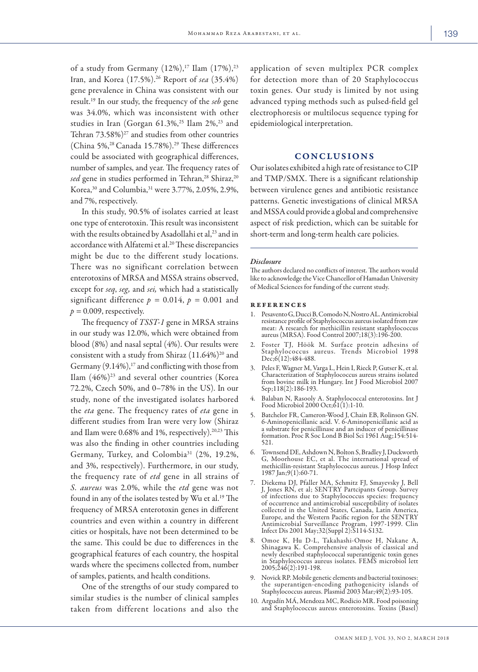of a study from Germany  $(12\%)$ ,<sup>17</sup> Ilam  $(17\%)$ ,<sup>23</sup> Iran, and Korea (17.5%).26 Report of *sea* (35.4%) gene prevalence in China was consistent with our result.19 In our study, the frequency of the *seb* gene was 34.0%, which was inconsistent with other studies in Iran (Gorgan 61.3%,<sup>25</sup> Ilam 2%,<sup>23</sup> and Tehran  $73.58\%$ <sup> $27$ </sup> and studies from other countries (China 5%,<sup>28</sup> Canada 15.78%).<sup>29</sup> These differences could be associated with geographical differences, number of samples, and year. The frequency rates of sed gene in studies performed in Tehran,<sup>28</sup> Shiraz,<sup>20</sup> Korea,<sup>30</sup> and Columbia,<sup>31</sup> were 3.77%, 2.05%, 2.9%, and 7%, respectively.

In this study, 90.5% of isolates carried at least one type of enterotoxin. This result was inconsistent with the results obtained by Asadollahi et al,<sup>23</sup> and in accordance with Alfatemi et al.<sup>20</sup> These discrepancies might be due to the different study locations. There was no significant correlation between enterotoxins of MRSA and MSSA strains observed, except for *seq*, *seg,* and *sei,* which had a statistically significant difference  $p = 0.014$ ,  $p = 0.001$  and  $p = 0.009$ , respectively.

The frequency of *TSST-1* gene in MRSA strains in our study was 12.0%, which were obtained from blood (8%) and nasal septal (4%). Our results were consistent with a study from Shiraz  $(11.64\%)^{20}$  and Germany  $(9.14\%)$ ,<sup>17</sup> and conflicting with those from Ilam  $(46\%)^{23}$  and several other countries (Korea 72.2%, Czech 50%, and 0–78% in the US). In our study, none of the investigated isolates harbored the *eta* gene. The frequency rates of *eta* gene in different studies from Iran were very low (Shiraz and Ilam were  $0.68\%$  and 1%, respectively).<sup>20,23</sup> This was also the finding in other countries including Germany, Turkey, and Colombia<sup>31</sup> (2%, 19.2%, and 3%, respectively). Furthermore, in our study, the frequency rate of *etd* gene in all strains of *S. aureus* was 2.0%, while the *etd* gene was not found in any of the isolates tested by Wu et al.19 The frequency of MRSA enterotoxin genes in different countries and even within a country in different cities or hospitals, have not been determined to be the same. This could be due to differences in the geographical features of each country, the hospital wards where the specimens collected from, number of samples, patients, and health conditions.

One of the strengths of our study compared to similar studies is the number of clinical samples taken from different locations and also the application of seven multiplex PCR complex for detection more than of 20 Staphylococcus toxin genes. Our study is limited by not using advanced typing methods such as pulsed-field gel electrophoresis or multilocus sequence typing for epidemiological interpretation.

#### CONCLUSIONS

Our isolates exhibited a high rate of resistance to CIP and TMP/SMX. There is a significant relationship between virulence genes and antibiotic resistance patterns. Genetic investigations of clinical MRSA and MSSA could provide a global and comprehensive aspect of risk prediction, which can be suitable for short-term and long-term health care policies.

#### *Disclosure*

The authors declared no conflicts of interest. The authors would like to acknowledge the Vice Chancellor of Hamadan University of Medical Sciences for funding of the current study.

#### references

- 1. Pesavento G, Ducci B, Comodo N, Nostro AL. Antimicrobial resistance profile of Staphylococcus aureus isolated from raw meat: A research for methicillin resistant staphylococcus aureus (MRSA). Food Control 2007;18(3):196-200.
- 2. Foster TJ, Höök M. Surface protein adhesins of Staphylococcus aureus. Trends Microbiol 1998 Dec;6(12):484-488.
- 3. Peles F, Wagner M, Varga L, Hein I, Rieck P, Gutser K, et al. Characterization of Staphylococcus aureus strains isolated from bovine milk in Hungary. Int J Food Microbiol 2007 Sep;118(2):186-193.
- 4. Balaban N, Rasooly A. Staphylococcal enterotoxins. Int J Food Microbiol 2000 Oct;61(1):1-10.
- 5. Batchelor FR, Cameron-Wood J, Chain EB, Rolinson GN. 6-Aminopenicillanic acid. V. 6-Aminopenicillanic acid as a substrate for penicillinase and an inducer of penicillinase formation. Proc R Soc Lond B Biol Sci 1961 Aug;154:514- 521.
- 6. Townsend DE, Ashdown N, Bolton S, Bradley J, Duckworth methicillin-resistant Staphylococcus aureus. J Hosp Infect<br>1987 Jan;9(1):60-71.
- 7. Diekema DJ, Pfaller MA, Schmitz FJ, Smayevsky J, Bell J, Jones RN, et al; SENTRY Partcipants Group. Survey of infections due to Staphylococcus species: frequency of occurrence and antimicrobial susceptibility of isolates collected in the United States, Canada, Latin America, Europe, and the Western Pacific region for the SENTRY Antimicrobial Surveillance Program, 1997-1999. Clin Infect Dis 2001 May;32(Suppl 2):S114-S132.
- 8. Omoe K, Hu D-L, Takahashi-Omoe H, Nakane A, Shinagawa K. Comprehensive analysis of classical and newly described staphylococcal superantigenic toxin genes in Staphylococcus aureus isolates. FEMS microbiol lett 2005;246(2):191-198.
- 9. Novick RP. Mobile genetic elements and bacterial toxinoses: the superantigen-encoding pathogenicity islands of Staphylococcus aureus. Plasmid 2003 Mar;49(2):93-105.
- 10. Argudín MÁ, Mendoza MC, Rodicio MR. Food poisoning and Staphylococcus aureus enterotoxins. Toxins (Basel)